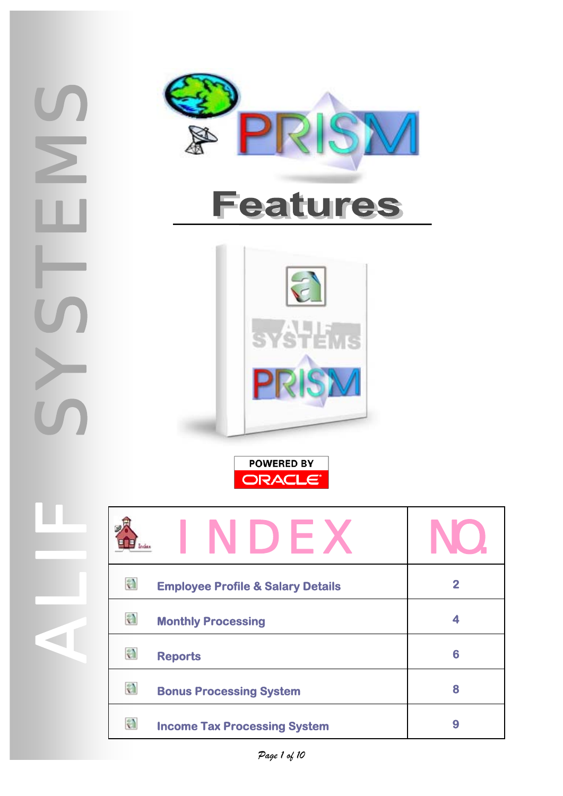

SYSSIE

 $\ge$ 

ALIF

**POWERED BY ORACLE** 

| NDF                                               |                |
|---------------------------------------------------|----------------|
| a<br><b>Employee Profile &amp; Salary Details</b> | $\overline{2}$ |
| a<br><b>Monthly Processing</b>                    |                |
| a<br><b>Reports</b>                               | 6              |
| a<br><b>Bonus Processing System</b>               | 8              |
| a<br><b>Income Tax Processing System</b>          | 9              |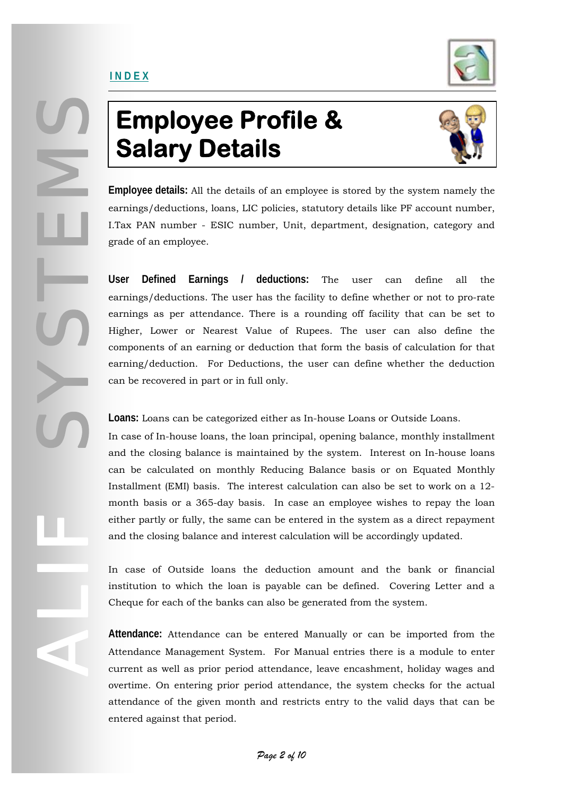### <span id="page-1-0"></span>INDEX



# **Employee Profile & Salary Details**



**Employee details:** All the details of an employee is stored by the system namely the earnings/deductions, loans, LIC policies, statutory details like PF account number, I.Tax PAN number - ESIC number, Unit, department, designation, category and grade of an employee.

**User Defined Earnings / deductions:** The user can define all the earnings/deductions. The user has the facility to define whether or not to pro-rate earnings as per attendance. There is a rounding off facility that can be set to Higher, Lower or Nearest Value of Rupees. The user can also define the components of an earning or deduction that form the basis of calculation for that earning/deduction. For Deductions, the user can define whether the deduction can be recovered in part or in full only.

**Loans:** Loans can be categorized either as In-house Loans or Outside Loans.

In case of In-house loans, the loan principal, opening balance, monthly installment and the closing balance is maintained by the system. Interest on In-house loans can be calculated on monthly Reducing Balance basis or on Equated Monthly Installment (EMI) basis. The interest calculation can also be set to work on a 12 month basis or a 365-day basis. In case an employee wishes to repay the loan either partly or fully, the same can be entered in the system as a direct repayment and the closing balance and interest calculation will be accordingly updated.

In case of Outside loans the deduction amount and the bank or financial institution to which the loan is payable can be defined. Covering Letter and a Cheque for each of the banks can also be generated from the system.

**Attendance:** Attendance can be entered Manually or can be imported from the Attendance Management System. For Manual entries there is a module to enter current as well as prior period attendance, leave encashment, holiday wages and overtime. On entering prior period attendance, the system checks for the actual attendance of the given month and restricts entry to the valid days that can be entered against that period.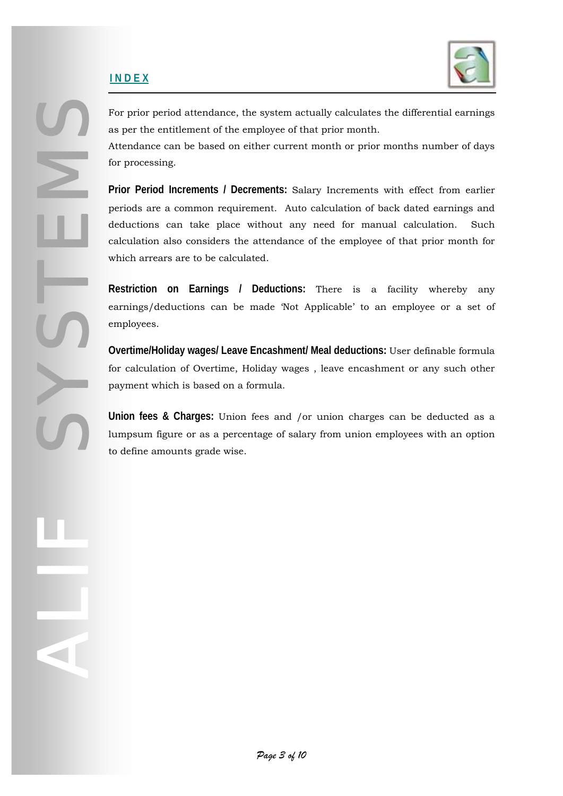### **I N D E X**

SYSSIE

ALIF



For prior period attendance, the system actually calculates the differential earnings as per the entitlement of the employee of that prior month.

Attendance can be based on either current month or prior months number of days for processing.

**Prior Period Increments / Decrements:** Salary Increments with effect from earlier periods are a common requirement. Auto calculation of back dated earnings and deductions can take place without any need for manual calculation. Such calculation also considers the attendance of the employee of that prior month for which arrears are to be calculated.

**Restriction on Earnings / Deductions:** There is a facility whereby any earnings/deductions can be made 'Not Applicable' to an employee or a set of employees.

**Overtime/Holiday wages/ Leave Encashment/ Meal deductions:** User definable formula for calculation of Overtime, Holiday wages , leave encashment or any such other payment which is based on a formula.

**Union fees & Charges:** Union fees and /or union charges can be deducted as a lumpsum figure or as a percentage of salary from union employees with an option to define amounts grade wise.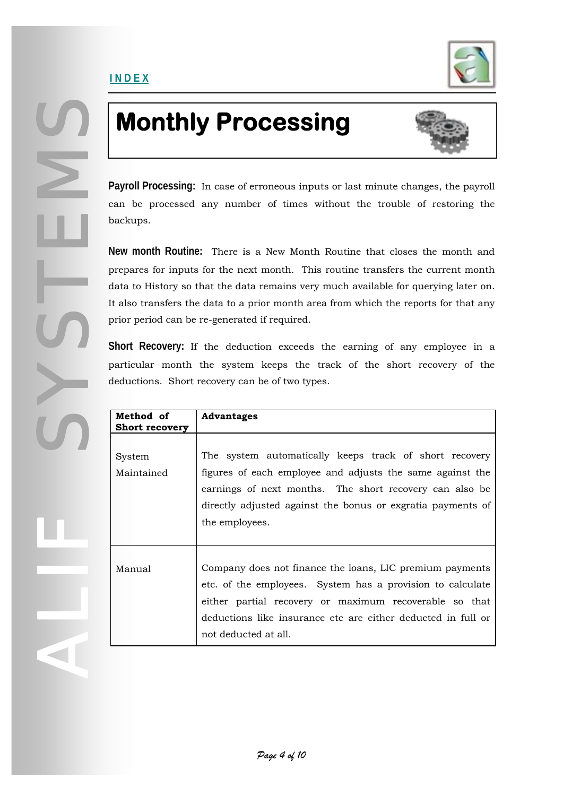<span id="page-3-0"></span>SYSTEMS

ALIF



# **Monthly Processing**



**Payroll Processing:** In case of erroneous inputs or last minute changes, the payroll can be processed any number of times without the trouble of restoring the backups.

**New month Routine:** There is a New Month Routine that closes the month and prepares for inputs for the next month. This routine transfers the current month data to History so that the data remains very much available for querying later on. It also transfers the data to a prior month area from which the reports for that any prior period can be re-generated if required.

**Short Recovery:** If the deduction exceeds the earning of any employee in a particular month the system keeps the track of the short recovery of the deductions. Short recovery can be of two types.

| Method of<br><b>Short recovery</b> | <b>Advantages</b>                                                                                                                                                                                                                                                        |
|------------------------------------|--------------------------------------------------------------------------------------------------------------------------------------------------------------------------------------------------------------------------------------------------------------------------|
| System<br>Maintained               | The system automatically keeps track of short recovery<br>figures of each employee and adjusts the same against the<br>earnings of next months. The short recovery can also be<br>directly adjusted against the bonus or exgratia payments of<br>the employees.          |
| Manual                             | Company does not finance the loans, LIC premium payments<br>etc. of the employees. System has a provision to calculate<br>either partial recovery or maximum recoverable so that<br>deductions like insurance etc are either deducted in full or<br>not deducted at all. |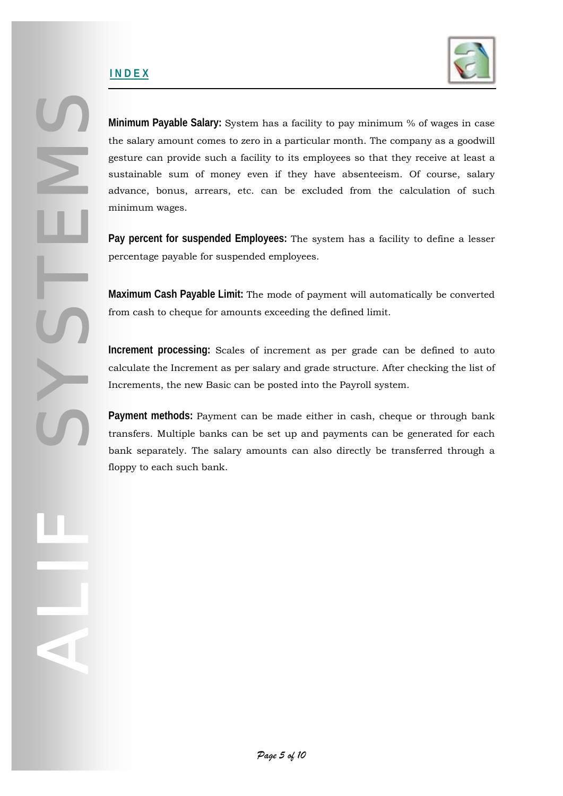### **I N D E X**

SYSSIE

ALIF



**Minimum Payable Salary:** System has a facility to pay minimum % of wages in case the salary amount comes to zero in a particular month. The company as a goodwill gesture can provide such a facility to its employees so that they receive at least a sustainable sum of money even if they have absenteeism. Of course, salary advance, bonus, arrears, etc. can be excluded from the calculation of such minimum wages.

**Pay percent for suspended Employees:** The system has a facility to define a lesser percentage payable for suspended employees.

**Maximum Cash Payable Limit:** The mode of payment will automatically be converted from cash to cheque for amounts exceeding the defined limit.

**Increment processing:** Scales of increment as per grade can be defined to auto calculate the Increment as per salary and grade structure. After checking the list of Increments, the new Basic can be posted into the Payroll system.

**Payment methods:** Payment can be made either in cash, cheque or through bank transfers. Multiple banks can be set up and payments can be generated for each bank separately. The salary amounts can also directly be transferred through a floppy to each such bank.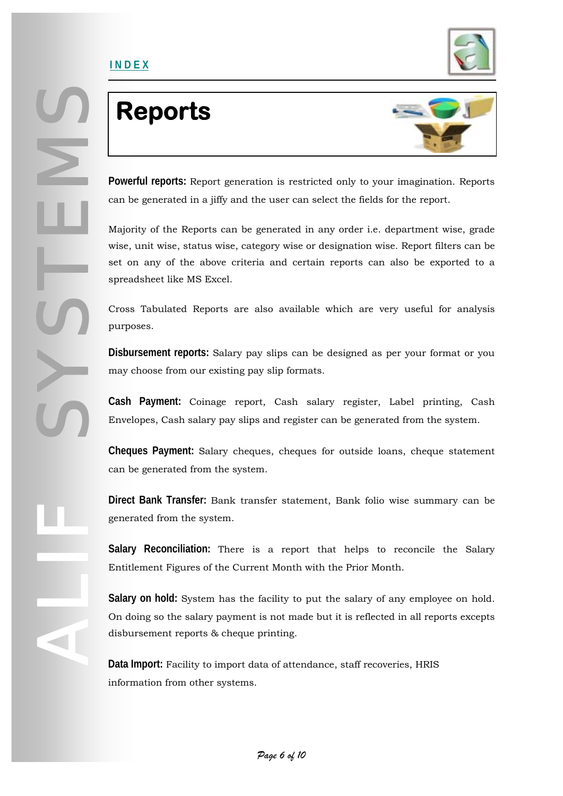

## **Reports**

<span id="page-5-0"></span>**I N D E X**



**Powerful reports:** Report generation is restricted only to your imagination. Reports can be generated in a jiffy and the user can select the fields for the report.

Majority of the Reports can be generated in any order i.e. department wise, grade wise, unit wise, status wise, category wise or designation wise. Report filters can be set on any of the above criteria and certain reports can also be exported to a spreadsheet like MS Excel.

Cross Tabulated Reports are also available which are very useful for analysis purposes.

**Disbursement reports:** Salary pay slips can be designed as per your format or you may choose from our existing pay slip formats.

**Cash Payment:** Coinage report, Cash salary register, Label printing, Cash Envelopes, Cash salary pay slips and register can be generated from the system.

**Cheques Payment:** Salary cheques, cheques for outside loans, cheque statement can be generated from the system.

**Direct Bank Transfer:** Bank transfer statement, Bank folio wise summary can be generated from the system.

**Salary Reconciliation:** There is a report that helps to reconcile the Salary Entitlement Figures of the Current Month with the Prior Month.

**Salary on hold:** System has the facility to put the salary of any employee on hold. On doing so the salary payment is not made but it is reflected in all reports excepts disbursement reports & cheque printing.

**Data Import:** Facility to import data of attendance, staff recoveries, HRIS information from other systems.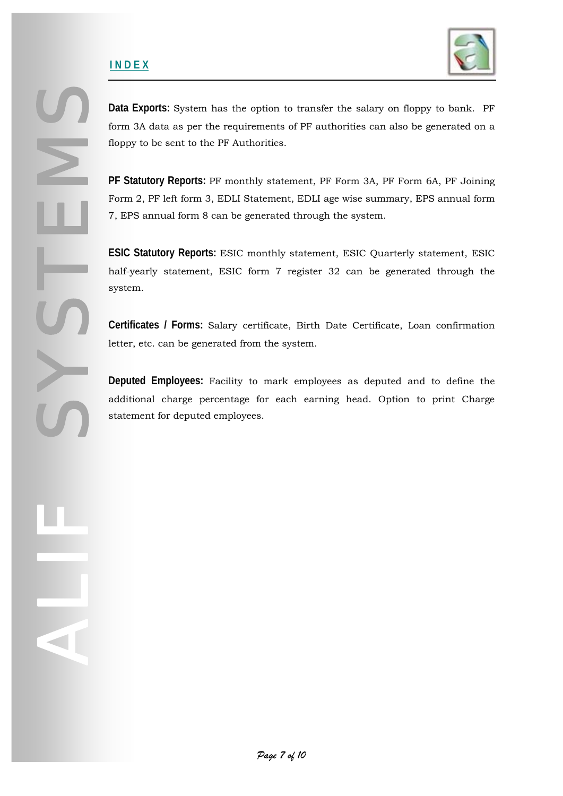#### **I N D E X**

SYSSIE

ALIF



**Data Exports:** System has the option to transfer the salary on floppy to bank. PF form 3A data as per the requirements of PF authorities can also be generated on a floppy to be sent to the PF Authorities.

**PF Statutory Reports:** PF monthly statement, PF Form 3A, PF Form 6A, PF Joining Form 2, PF left form 3, EDLI Statement, EDLI age wise summary, EPS annual form 7, EPS annual form 8 can be generated through the system.

**ESIC Statutory Reports:** ESIC monthly statement, ESIC Quarterly statement, ESIC half-yearly statement, ESIC form 7 register 32 can be generated through the system.

**Certificates / Forms:** Salary certificate, Birth Date Certificate, Loan confirmation letter, etc. can be generated from the system.

**Deputed Employees:** Facility to mark employees as deputed and to define the additional charge percentage for each earning head. Option to print Charge statement for deputed employees.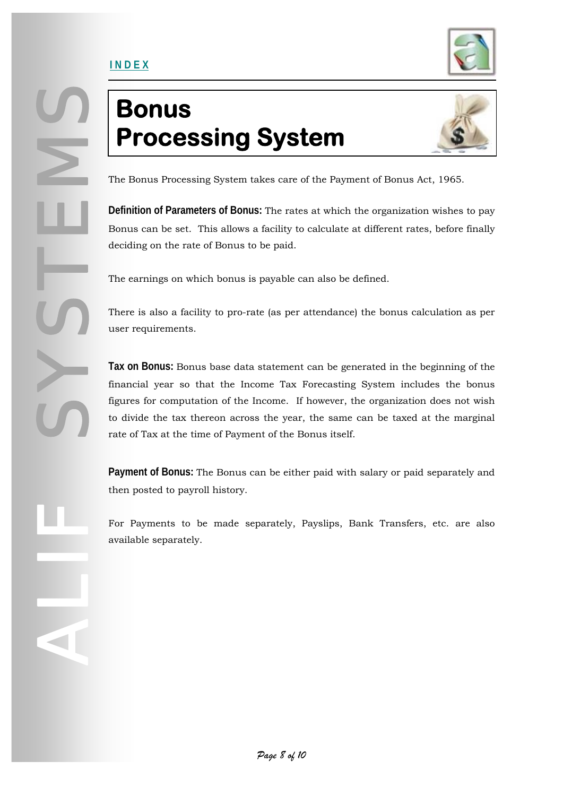

## <span id="page-7-0"></span>**Bonus Processing System**



The Bonus Processing System takes care of the Payment of Bonus Act, 1965.

**Definition of Parameters of Bonus:** The rates at which the organization wishes to pay Bonus can be set. This allows a facility to calculate at different rates, before finally deciding on the rate of Bonus to be paid.

The earnings on which bonus is payable can also be defined.

There is also a facility to pro-rate (as per attendance) the bonus calculation as per user requirements.

**Tax on Bonus:** Bonus base data statement can be generated in the beginning of the financial year so that the Income Tax Forecasting System includes the bonus figures for computation of the Income. If however, the organization does not wish to divide the tax thereon across the year, the same can be taxed at the marginal rate of Tax at the time of Payment of the Bonus itself.

**Payment of Bonus:** The Bonus can be either paid with salary or paid separately and then posted to payroll history.

For Payments to be made separately, Payslips, Bank Transfers, etc. are also available separately.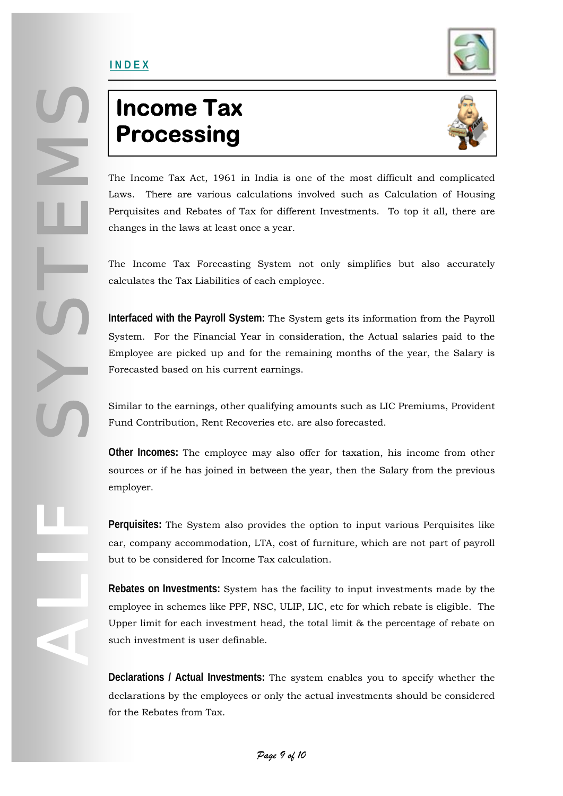

### <span id="page-8-0"></span>**Income Tax Processing**



The Income Tax Act, 1961 in India is one of the most difficult and complicated Laws. There are various calculations involved such as Calculation of Housing Perquisites and Rebates of Tax for different Investments. To top it all, there are changes in the laws at least once a year.

The Income Tax Forecasting System not only simplifies but also accurately calculates the Tax Liabilities of each employee.

**Interfaced with the Payroll System:** The System gets its information from the Payroll System. For the Financial Year in consideration, the Actual salaries paid to the Employee are picked up and for the remaining months of the year, the Salary is Forecasted based on his current earnings.

Similar to the earnings, other qualifying amounts such as LIC Premiums, Provident Fund Contribution, Rent Recoveries etc. are also forecasted.

**Other Incomes:** The employee may also offer for taxation, his income from other sources or if he has joined in between the year, then the Salary from the previous employer.

**Perquisites:** The System also provides the option to input various Perquisites like car, company accommodation, LTA, cost of furniture, which are not part of payroll but to be considered for Income Tax calculation.

**Rebates on Investments:** System has the facility to input investments made by the employee in schemes like PPF, NSC, ULIP, LIC, etc for which rebate is eligible. The Upper limit for each investment head, the total limit & the percentage of rebate on such investment is user definable.

**Declarations / Actual Investments:** The system enables you to specify whether the declarations by the employees or only the actual investments should be considered for the Rebates from Tax.